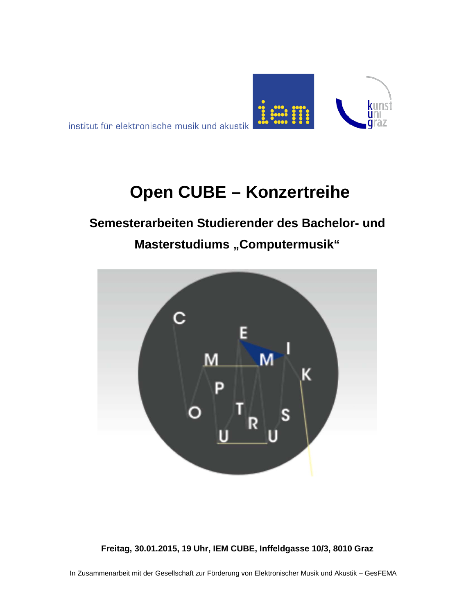

institut für elektronische musik und akustik

# **Open CUBE – Konzertreihe**

# **Semesterarbeiten Studierender des Bachelor- und**

# **Masterstudiums "Computermusik"**



**Freitag, 30.01.2015, 19 Uhr, IEM CUBE, Inffeldgasse 10/3, 8010 Graz**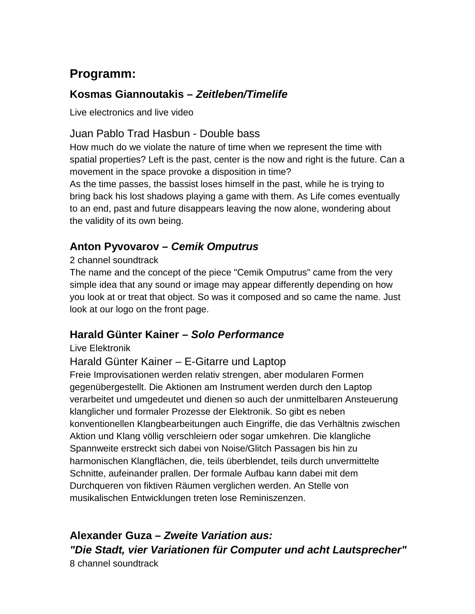## **Programm:**

### **Kosmas Giannoutakis –** *Zeitleben/Timelife*

Live electronics and live video

### Juan Pablo Trad Hasbun - Double bass

How much do we violate the nature of time when we represent the time with spatial properties? Left is the past, center is the now and right is the future. Can a movement in the space provoke a disposition in time?

As the time passes, the bassist loses himself in the past, while he is trying to bring back his lost shadows playing a game with them. As Life comes eventually to an end, past and future disappears leaving the now alone, wondering about the validity of its own being.

### **Anton Pyvovarov –** *Cemik Omputrus*

#### 2 channel soundtrack

The name and the concept of the piece "Cemik Omputrus" came from the very simple idea that any sound or image may appear differently depending on how you look at or treat that object. So was it composed and so came the name. Just look at our logo on the front page.

#### **Harald Günter Kainer –** *Solo Performance*

#### Live Elektronik

#### Harald Günter Kainer – E-Gitarre und Laptop

Freie Improvisationen werden relativ strengen, aber modularen Formen gegenübergestellt. Die Aktionen am Instrument werden durch den Laptop verarbeitet und umgedeutet und dienen so auch der unmittelbaren Ansteuerung klanglicher und formaler Prozesse der Elektronik. So gibt es neben konventionellen Klangbearbeitungen auch Eingriffe, die das Verhältnis zwischen Aktion und Klang völlig verschleiern oder sogar umkehren. Die klangliche Spannweite erstreckt sich dabei von Noise/Glitch Passagen bis hin zu harmonischen Klangflächen, die, teils überblendet, teils durch unvermittelte Schnitte, aufeinander prallen. Der formale Aufbau kann dabei mit dem Durchqueren von fiktiven Räumen verglichen werden. An Stelle von musikalischen Entwicklungen treten lose Reminiszenzen.

**Alexander Guza –** *Zweite Variation aus: "Die Stadt, vier Variationen für Computer und acht Lautsprecher"* 8 channel soundtrack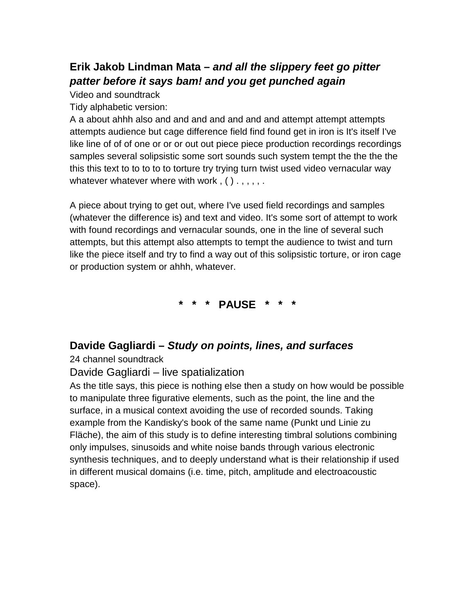### **Erik Jakob Lindman Mata –** *and all the slippery feet go pitter patter before it says bam! and you get punched again*

Video and soundtrack

Tidy alphabetic version:

A a about ahhh also and and and and and and and attempt attempt attempts attempts audience but cage difference field find found get in iron is It's itself I've like line of of of one or or or out out piece piece production recordings recordings samples several solipsistic some sort sounds such system tempt the the the the this this text to to to to to torture try trying turn twist used video vernacular way whatever whatever where with work,  $( ) . , , , , .$ 

A piece about trying to get out, where I've used field recordings and samples (whatever the difference is) and text and video. It's some sort of attempt to work with found recordings and vernacular sounds, one in the line of several such attempts, but this attempt also attempts to tempt the audience to twist and turn like the piece itself and try to find a way out of this solipsistic torture, or iron cage or production system or ahhh, whatever.

**\* \* \* PAUSE \* \* \***

#### **Davide Gagliardi –** *Study on points, lines, and surfaces*

24 channel soundtrack

#### Davide Gagliardi – live spatialization

As the title says, this piece is nothing else then a study on how would be possible to manipulate three figurative elements, such as the point, the line and the surface, in a musical context avoiding the use of recorded sounds. Taking example from the Kandisky's book of the same name (Punkt und Linie zu Fläche), the aim of this study is to define interesting timbral solutions combining only impulses, sinusoids and white noise bands through various electronic synthesis techniques, and to deeply understand what is their relationship if used in different musical domains (i.e. time, pitch, amplitude and electroacoustic space).